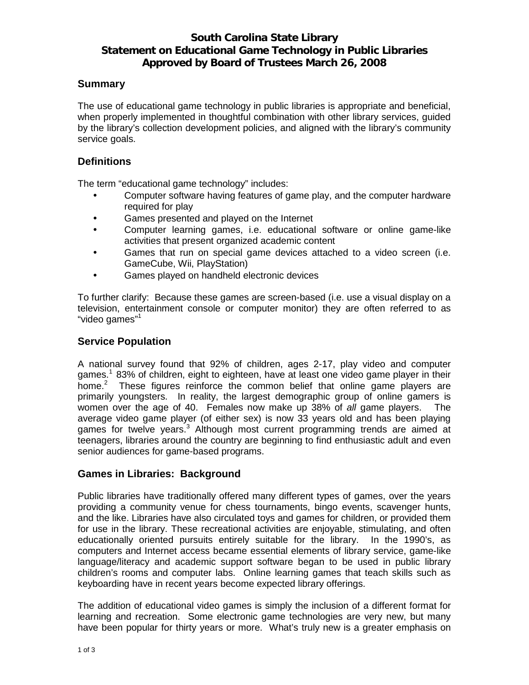# **South Carolina State Library Statement on Educational Game Technology in Public Libraries Approved by Board of Trustees March 26, 2008**

## **Summary**

The use of educational game technology in public libraries is appropriate and beneficial, when properly implemented in thoughtful combination with other library services, guided by the library's collection development policies, and aligned with the library's community service goals.

#### **Definitions**

The term "educational game technology" includes:

- Computer software having features of game play, and the computer hardware required for play
- Games presented and played on the Internet
- Computer learning games, i.e. educational software or online game-like activities that present organized academic content
- Games that run on special game devices attached to a video screen (i.e. GameCube, Wii, PlayStation)
- Games played on handheld electronic devices

To further clarify: Because these games are screen-based (i.e. use a visual display on a television, entertainment console or computer monitor) they are often referred to as "video games"<sup>1</sup>

#### **Service Population**

A national survey found that 92% of children, ages 2-17, play video and computer games.<sup>1</sup> 83% of children, eight to eighteen, have at least one video game player in their home. $2$  These figures reinforce the common belief that online game players are primarily youngsters. In reality, the largest demographic group of online gamers is women over the age of 40. Females now make up 38% of *all* game players. The average video game player (of either sex) is now 33 years old and has been playing games for twelve years.<sup>3</sup> Although most current programming trends are aimed at teenagers, libraries around the country are beginning to find enthusiastic adult and even senior audiences for game-based programs.

## **Games in Libraries: Background**

Public libraries have traditionally offered many different types of games, over the years providing a community venue for chess tournaments, bingo events, scavenger hunts, and the like. Libraries have also circulated toys and games for children, or provided them for use in the library. These recreational activities are enjoyable, stimulating, and often educationally oriented pursuits entirely suitable for the library. In the 1990's, as computers and Internet access became essential elements of library service, game-like language/literacy and academic support software began to be used in public library children's rooms and computer labs. Online learning games that teach skills such as keyboarding have in recent years become expected library offerings.

The addition of educational video games is simply the inclusion of a different format for learning and recreation. Some electronic game technologies are very new, but many have been popular for thirty years or more. What's truly new is a greater emphasis on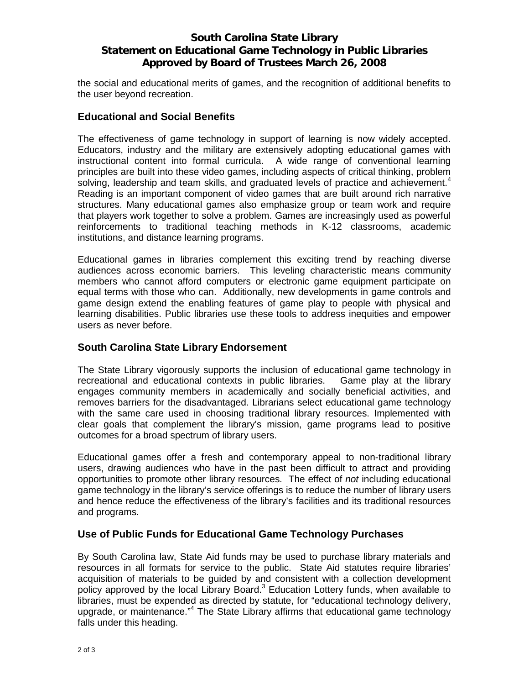# **South Carolina State Library Statement on Educational Game Technology in Public Libraries Approved by Board of Trustees March 26, 2008**

the social and educational merits of games, and the recognition of additional benefits to the user beyond recreation.

#### **Educational and Social Benefits**

The effectiveness of game technology in support of learning is now widely accepted. Educators, industry and the military are extensively adopting educational games with instructional content into formal curricula. A wide range of conventional learning principles are built into these video games, including aspects of critical thinking, problem solving, leadership and team skills, and graduated levels of practice and achievement.<sup>4</sup> Reading is an important component of video games that are built around rich narrative structures. Many educational games also emphasize group or team work and require that players work together to solve a problem. Games are increasingly used as powerful reinforcements to traditional teaching methods in K-12 classrooms, academic institutions, and distance learning programs.

Educational games in libraries complement this exciting trend by reaching diverse audiences across economic barriers. This leveling characteristic means community members who cannot afford computers or electronic game equipment participate on equal terms with those who can. Additionally, new developments in game controls and game design extend the enabling features of game play to people with physical and learning disabilities. Public libraries use these tools to address inequities and empower users as never before.

## **South Carolina State Library Endorsement**

The State Library vigorously supports the inclusion of educational game technology in recreational and educational contexts in public libraries. Game play at the library engages community members in academically and socially beneficial activities, and removes barriers for the disadvantaged. Librarians select educational game technology with the same care used in choosing traditional library resources. Implemented with clear goals that complement the library's mission, game programs lead to positive outcomes for a broad spectrum of library users.

Educational games offer a fresh and contemporary appeal to non-traditional library users, drawing audiences who have in the past been difficult to attract and providing opportunities to promote other library resources. The effect of *not* including educational game technology in the library's service offerings is to reduce the number of library users and hence reduce the effectiveness of the library's facilities and its traditional resources and programs.

## **Use of Public Funds for Educational Game Technology Purchases**

By South Carolina law, State Aid funds may be used to purchase library materials and resources in all formats for service to the public. State Aid statutes require libraries' acquisition of materials to be guided by and consistent with a collection development policy approved by the local Library Board.<sup>3</sup> Education Lottery funds, when available to libraries, must be expended as directed by statute, for "educational technology delivery, upgrade, or maintenance."<sup>4</sup> The State Library affirms that educational game technology falls under this heading.